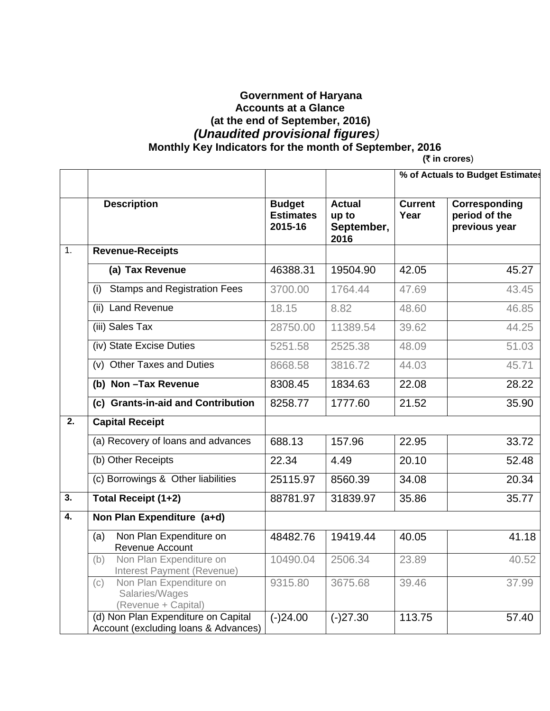## **Government of Haryana Accounts at a Glance (at the end of September, 2016)**   *(Unaudited provisional figures)*   **Monthly Key Indicators for the month of September, 2016** (*T* in crores)

|                  |                                                                             |                                              |                                              | % of Actuals to Budget Estimates |                                                        |  |  |  |
|------------------|-----------------------------------------------------------------------------|----------------------------------------------|----------------------------------------------|----------------------------------|--------------------------------------------------------|--|--|--|
|                  | <b>Description</b>                                                          | <b>Budget</b><br><b>Estimates</b><br>2015-16 | <b>Actual</b><br>up to<br>September,<br>2016 | <b>Current</b><br>Year           | <b>Corresponding</b><br>period of the<br>previous year |  |  |  |
| $\overline{1}$ . | <b>Revenue-Receipts</b>                                                     |                                              |                                              |                                  |                                                        |  |  |  |
|                  | (a) Tax Revenue                                                             | 46388.31                                     | 19504.90                                     | 42.05                            | 45.27                                                  |  |  |  |
|                  | <b>Stamps and Registration Fees</b><br>(i)                                  | 3700.00                                      | 1764.44                                      | 47.69                            | 43.45                                                  |  |  |  |
|                  | (ii) Land Revenue                                                           | 18.15                                        | 8.82                                         | 48.60                            | 46.85                                                  |  |  |  |
|                  | (iii) Sales Tax                                                             | 28750.00                                     | 11389.54                                     | 39.62                            | 44.25                                                  |  |  |  |
|                  | (iv) State Excise Duties                                                    | 5251.58                                      | 2525.38                                      | 48.09                            | 51.03                                                  |  |  |  |
|                  | (v) Other Taxes and Duties                                                  | 8668.58                                      | 3816.72                                      | 44.03                            | 45.71                                                  |  |  |  |
|                  | (b) Non-Tax Revenue                                                         | 8308.45                                      | 1834.63                                      | 22.08                            | 28.22                                                  |  |  |  |
|                  | (c) Grants-in-aid and Contribution                                          | 8258.77                                      | 1777.60                                      | 21.52                            | 35.90                                                  |  |  |  |
| $\overline{2}$ . | <b>Capital Receipt</b>                                                      |                                              |                                              |                                  |                                                        |  |  |  |
|                  | (a) Recovery of loans and advances                                          | 688.13                                       | 157.96                                       | 22.95                            | 33.72                                                  |  |  |  |
|                  | (b) Other Receipts                                                          | 22.34                                        | 4.49                                         | 20.10                            | 52.48                                                  |  |  |  |
|                  | (c) Borrowings & Other liabilities                                          | 25115.97                                     | 8560.39                                      | 34.08                            | 20.34                                                  |  |  |  |
| $\overline{3}$ . | <b>Total Receipt (1+2)</b>                                                  | 88781.97                                     | 31839.97                                     | 35.86                            | 35.77                                                  |  |  |  |
| 4.               | Non Plan Expenditure (a+d)                                                  |                                              |                                              |                                  |                                                        |  |  |  |
|                  | Non Plan Expenditure on<br>(a)<br>Revenue Account                           | 48482.76                                     | 19419.44                                     | 40.05                            | 41.18                                                  |  |  |  |
|                  | Non Plan Expenditure on<br>(b)<br>Interest Payment (Revenue)                | 10490.04                                     | 2506.34                                      | 23.89                            | 40.52                                                  |  |  |  |
|                  | Non Plan Expenditure on<br>(c)<br>Salaries/Wages<br>(Revenue + Capital)     | 9315.80                                      | 3675.68                                      | 39.46                            | 37.99                                                  |  |  |  |
|                  | (d) Non Plan Expenditure on Capital<br>Account (excluding loans & Advances) | $(-)24.00$                                   | $(-)27.30$                                   | 113.75                           | 57.40                                                  |  |  |  |